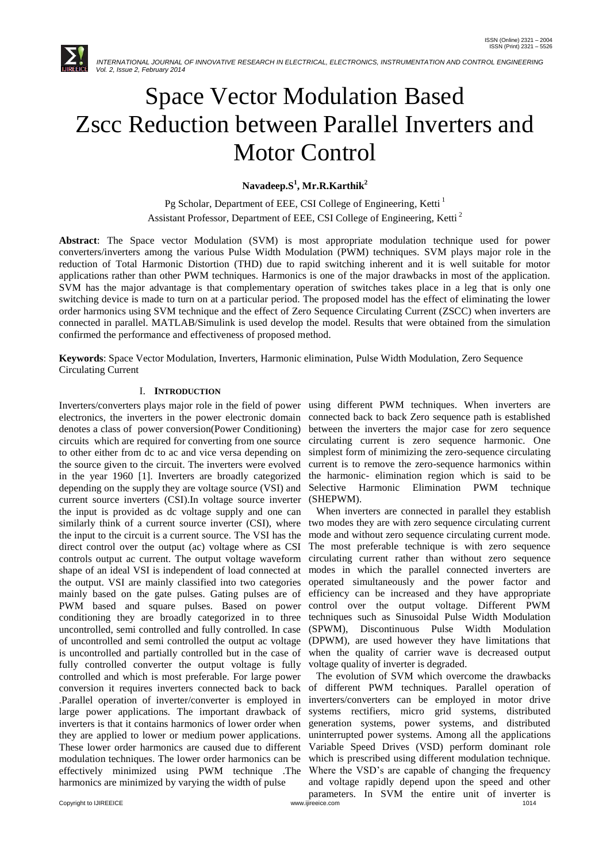

# Space Vector Modulation Based Zscc Reduction between Parallel Inverters and Motor Control

**Navadeep.S<sup>1</sup> , Mr.R.Karthik<sup>2</sup>**

Pg Scholar, Department of EEE, CSI College of Engineering, Ketti<sup>1</sup> Assistant Professor, Department of EEE, CSI College of Engineering, Ketti <sup>2</sup>

**Abstract**: The Space vector Modulation (SVM) is most appropriate modulation technique used for power converters/inverters among the various Pulse Width Modulation (PWM) techniques. SVM plays major role in the reduction of Total Harmonic Distortion (THD) due to rapid switching inherent and it is well suitable for motor applications rather than other PWM techniques. Harmonics is one of the major drawbacks in most of the application. SVM has the major advantage is that complementary operation of switches takes place in a leg that is only one switching device is made to turn on at a particular period. The proposed model has the effect of eliminating the lower order harmonics using SVM technique and the effect of Zero Sequence Circulating Current (ZSCC) when inverters are connected in parallel. MATLAB/Simulink is used develop the model. Results that were obtained from the simulation confirmed the performance and effectiveness of proposed method.

**Keywords**: Space Vector Modulation, Inverters, Harmonic elimination, Pulse Width Modulation, Zero Sequence Circulating Current

# I. **INTRODUCTION**

Inverters/converters plays major role in the field of power using different PWM techniques. When inverters are electronics, the inverters in the power electronic domain denotes a class of power conversion(Power Conditioning) circuits which are required for converting from one source to other either from dc to ac and vice versa depending on the source given to the circuit. The inverters were evolved in the year 1960 [1]. Inverters are broadly categorized depending on the supply they are voltage source (VSI) and current source inverters (CSI).In voltage source inverter the input is provided as dc voltage supply and one can similarly think of a current source inverter (CSI), where the input to the circuit is a current source. The VSI has the direct control over the output (ac) voltage where as CSI controls output ac current. The output voltage waveform shape of an ideal VSI is independent of load connected at the output. VSI are mainly classified into two categories mainly based on the gate pulses. Gating pulses are of PWM based and square pulses. Based on power conditioning they are broadly categorized in to three uncontrolled, semi controlled and fully controlled. In case of uncontrolled and semi controlled the output ac voltage is uncontrolled and partially controlled but in the case of fully controlled converter the output voltage is fully controlled and which is most preferable. For large power conversion it requires inverters connected back to back .Parallel operation of inverter/converter is employed in large power applications. The important drawback of inverters is that it contains harmonics of lower order when they are applied to lower or medium power applications. These lower order harmonics are caused due to different modulation techniques. The lower order harmonics can be effectively minimized using PWM technique .The harmonics are minimized by varying the width of pulse

connected back to back Zero sequence path is established between the inverters the major case for zero sequence circulating current is zero sequence harmonic. One simplest form of minimizing the zero-sequence circulating current is to remove the zero-sequence harmonics within the harmonic- elimination region which is said to be Selective Harmonic Elimination PWM technique (SHEPWM).

 When inverters are connected in parallel they establish two modes they are with zero sequence circulating current mode and without zero sequence circulating current mode. The most preferable technique is with zero sequence circulating current rather than without zero sequence modes in which the parallel connected inverters are operated simultaneously and the power factor and efficiency can be increased and they have appropriate control over the output voltage. Different PWM techniques such as Sinusoidal Pulse Width Modulation (SPWM), Discontinuous Pulse Width Modulation (DPWM), are used however they have limitations that when the quality of carrier wave is decreased output voltage quality of inverter is degraded.

Copyright to IJIREEICE **COPYRIGHTS AND REFULSION COPYRIGHTS** COPYRIGHT OF THE CONSUMIT COPYRIGHT OF THE CONSUMIT COPYRIGHT OF THE CONSUMIT COPYRIGHT OF THE CONSUMIT COPYRIGHT OF THE CONSUMIT CONSUMIT CONSUMIT CONSUMIT CONS The evolution of SVM which overcome the drawbacks of different PWM techniques. Parallel operation of inverters/converters can be employed in motor drive systems rectifiers, micro grid systems, distributed generation systems, power systems, and distributed uninterrupted power systems. Among all the applications Variable Speed Drives (VSD) perform dominant role which is prescribed using different modulation technique. Where the VSD"s are capable of changing the frequency and voltage rapidly depend upon the speed and other parameters. In SVM the entire unit of inverter is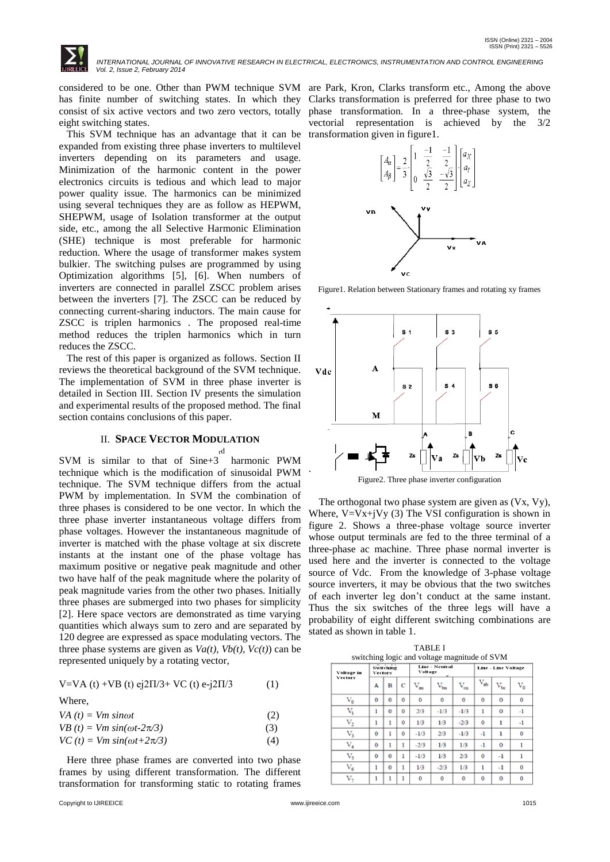

has finite number of switching states. In which they consist of six active vectors and two zero vectors, totally eight switching states.

 This SVM technique has an advantage that it can be expanded from existing three phase inverters to multilevel inverters depending on its parameters and usage. Minimization of the harmonic content in the power electronics circuits is tedious and which lead to major power quality issue. The harmonics can be minimized using several techniques they are as follow as HEPWM, SHEPWM, usage of Isolation transformer at the output side, etc., among the all Selective Harmonic Elimination (SHE) technique is most preferable for harmonic reduction. Where the usage of transformer makes system bulkier. The switching pulses are programmed by using Optimization algorithms [5], [6]. When numbers of inverters are connected in parallel ZSCC problem arises between the inverters [7]. The ZSCC can be reduced by connecting current-sharing inductors. The main cause for ZSCC is triplen harmonics . The proposed real-time method reduces the triplen harmonics which in turn reduces the ZSCC.

 The rest of this paper is organized as follows. Section II reviews the theoretical background of the SVM technique. The implementation of SVM in three phase inverter is detailed in Section III. Section IV presents the simulation and experimental results of the proposed method. The final section contains conclusions of this paper.

## II. **SPACE VECTOR MODULATION**

SVM is similar to that of Sine+3 harmonic PWM rd technique which is the modification of sinusoidal PWM technique. The SVM technique differs from the actual PWM by implementation. In SVM the combination of three phases is considered to be one vector. In which the three phase inverter instantaneous voltage differs from phase voltages. However the instantaneous magnitude of inverter is matched with the phase voltage at six discrete instants at the instant one of the phase voltage has maximum positive or negative peak magnitude and other two have half of the peak magnitude where the polarity of peak magnitude varies from the other two phases. Initially three phases are submerged into two phases for simplicity [2]. Here space vectors are demonstrated as time varying quantities which always sum to zero and are separated by 120 degree are expressed as space modulating vectors. The three phase systems are given as  $Va(t)$ ,  $Vb(t)$ ,  $Vc(t)$  can be represented uniquely by a rotating vector,

|  | V=VA (t) +VB (t) ej2 $\Pi$ /3+ VC (t) e-j2 $\Pi$ /3 | (1) |
|--|-----------------------------------------------------|-----|
|--|-----------------------------------------------------|-----|

|--|

| VA $(t)$ = Vm sin $\omega t$         | (2) |
|--------------------------------------|-----|
| $VB(t) = Vm \sin(\omega t - 2\pi/3)$ | (3) |
| $VC(t) = Vm \sin(\omega t + 2\pi/3)$ | (4) |

 Here three phase frames are converted into two phase frames by using different transformation. The different transformation for transforming static to rotating frames

considered to be one. Other than PWM technique SVM are Park*,* Kron, Clarks transform etc., Among the above Clarks transformation is preferred for three phase to two phase transformation. In a three-phase system, the vectorial representation is achieved by the 3/2 transformation given in figure1.



Figure1. Relation between Stationary frames and rotating xy frames



 The orthogonal two phase system are given as (Vx, Vy), Where,  $V=Vx+jVy$  (3) The VSI configuration is shown in figure 2. Shows a three-phase voltage source inverter whose output terminals are fed to the three terminal of a three-phase ac machine. Three phase normal inverter is

used here and the inverter is connected to the voltage source of Vdc. From the knowledge of 3-phase voltage source inverters, it may be obvious that the two switches of each inverter leg don"t conduct at the same instant. Thus the six switches of the three legs will have a probability of eight different switching combinations are stated as shown in table 1.

|                |                                              |                     |                                  | <b>TABLE I</b> |              |                            |          |               |           |
|----------------|----------------------------------------------|---------------------|----------------------------------|----------------|--------------|----------------------------|----------|---------------|-----------|
|                | switching logic and voltage magnitude of SVM |                     |                                  |                |              |                            |          |               |           |
| Voltage in     | Switching<br><b>Vectors</b>                  |                     | <b>Line - Neutral</b><br>Voltage |                |              | <b>Line - Line Voltage</b> |          |               |           |
| <b>Vectors</b> | А                                            | B                   | c                                | $\rm V_{m}$    | $\rm V_{bn}$ | $\rm V_{\rm cn}$           | $V_{ab}$ | $\rm V_{bc}$  | $\rm V_0$ |
| $\rm V_{0}$    | $\ddot{\rm{o}}$                              | $\ddot{\mathbf{0}}$ | o                                | ٥              | Ō            | 0                          | Ō        | Ō             | Ō         |
| v,             | 1                                            | $\Omega$            | o                                | 2/3            | $-1/3$       | $-1/3$                     | 1        | 0             | -1        |
| v,             | 1                                            | 1                   | Ō                                | 1/3            | 1/3          | $-2/3$                     | Ō        | 1             | -1        |
| v,             | Ŏ                                            | 1                   | Ŏ                                | $-1/3$         | 2/3          | $-1/3$                     | $^{-1}$  | 1             | Ō         |
| $\rm V_4$      | $\theta$                                     | 1                   | 1                                | $-2/3$         | 1/3          | 1/3                        | $^{-1}$  | $\alpha$      |           |
| $\rm{V}_5$     | Ō                                            | $\ddot{\mathbf{0}}$ | 1                                | $-1/3$         | 1/3          | 2/3                        | Ŏ        | $\mathbf{-1}$ |           |
| $\rm{V}_6$     | 1                                            | $\Omega$            | ۱                                | 1/3            | $-2/3$       | 1/3                        | 1        | -1            | o         |
| v,             | 1                                            | ĭ                   | 1                                | o              | 0            | o                          | Ō        | o             | ٥         |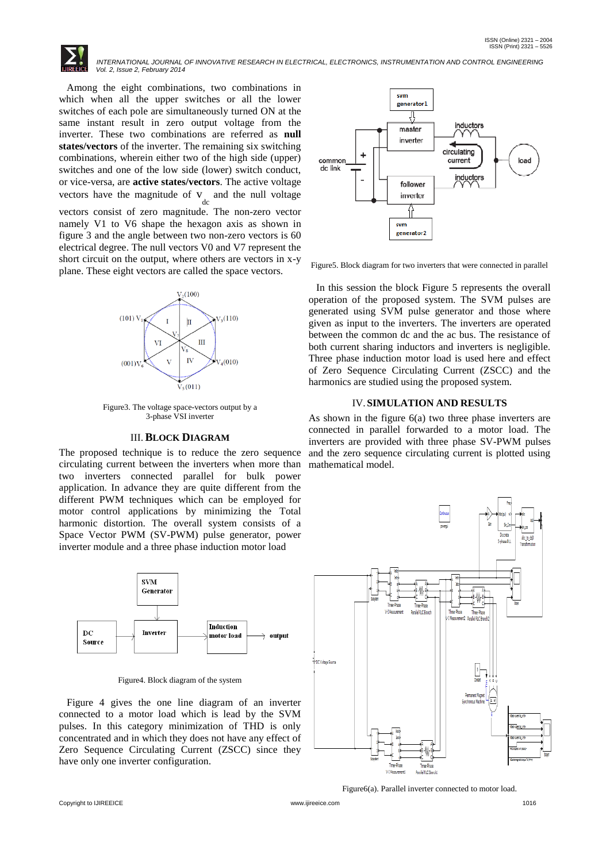Among the eight combinations, two combinations in which when all the upper switches or all the lower switches of each pole are simultaneously turned ON at the same instant result in zero output voltage from the inverter. These two combinations are referred as **null states/vectors** of the inverter. The remaining six switching combinations, wherein either two of the high side (upper) switches and one of the low side (lower) switch conduct, or vice-versa, are **active states/vectors**. The active voltage vectors have the magnitude of  $v_{\text{dc}}$  and the null voltage vectors consist of zero magnitude. The non-zero vector namely V1 to V6 shape the hexagon axis as shown in figure 3 and the angle between two non-zero vectors is 60 electrical degree. The null vectors V0 and V7 represent the short circuit on the output, where others are vectors in x-y plane. These eight vectors are called the space vectors.



Figure3. The voltage space-vectors output by a 3-phase VSI inverter

#### III.**BLOCK DIAGRAM**

The proposed technique is to reduce the zero sequence circulating current between the inverters when more than two inverters connected parallel for bulk power application. In advance they are quite different from the different PWM techniques which can be employed for motor control applications by minimizing the Total harmonic distortion. The overall system consists of a Space Vector PWM (SV-PWM) pulse generator, power inverter module and a three phase induction motor load



Figure4. Block diagram of the system

 Figure 4 gives the one line diagram of an inverter connected to a motor load which is lead by the SVM pulses. In this category minimization of THD is only concentrated and in which they does not have any effect of Zero Sequence Circulating Current (ZSCC) since they have only one inverter configuration.



Figure5. Block diagram for two inverters that were connected in parallel

 In this session the block Figure 5 represents the overall operation of the proposed system. The SVM pulses are generated using SVM pulse generator and those where given as input to the inverters. The inverters are operated between the common dc and the ac bus. The resistance of both current sharing inductors and inverters is negligible. Three phase induction motor load is used here and effect of Zero Sequence Circulating Current (ZSCC) and the harmonics are studied using the proposed system.

#### IV.**SIMULATION AND RESULTS**

As shown in the figure 6(a) two three phase inverters are connected in parallel forwarded to a motor load. The inverters are provided with three phase SV-PWM pulses and the zero sequence circulating current is plotted using mathematical model.



Figure6(a). Parallel inverter connected to motor load.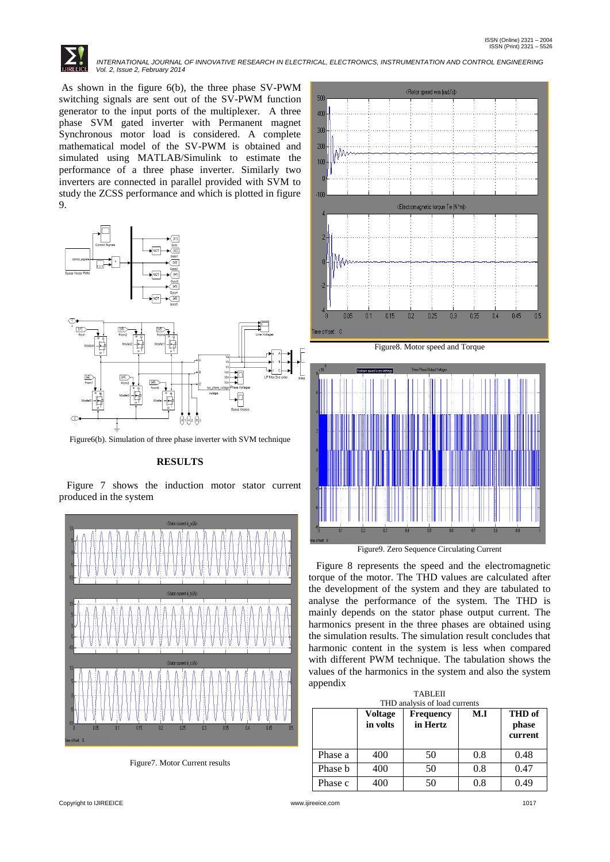As shown in the figure 6(b), the three phase SV-PWM switching signals are sent out of the SV-PWM function generator to the input ports of the multiplexer.A three phase SVM gated inverter with Permanent magnet Synchronous motor load is considered. A complete mathematical model of the SV-PWM is obtained and simulated using MATLAB/Simulink to estimate the performance of a three phase inverter. Similarly two inverters are connected in parallel provided with SVM to study the ZCSS performance and which is plotted in figure 9.



Figure6(b). Simulation of three phase inverter with SVM technique

### **RESULTS**

 Figure 7 shows the induction motor stator current produced in the system



Figure7. Motor Current results



Figure9. Zero Sequence Circulating Current

 Figure 8 represents the speed and the electromagnetic torque of the motor. The THD values are calculated after the development of the system and they are tabulated to analyse the performance of the system. The THD is mainly depends on the stator phase output current. The harmonics present in the three phases are obtained using the simulation results. The simulation result concludes that harmonic content in the system is less when compared with different PWM technique. The tabulation shows the values of the harmonics in the system and also the system appendix

| <b>TABLEII</b><br>THD analysis of load currents |                            |                              |     |                            |  |  |  |
|-------------------------------------------------|----------------------------|------------------------------|-----|----------------------------|--|--|--|
|                                                 | <b>Voltage</b><br>in volts | <b>Frequency</b><br>in Hertz | M.I | THD of<br>phase<br>current |  |  |  |
| Phase a                                         | 400                        | 50                           | 0.8 | 0.48                       |  |  |  |
| Phase b                                         | 400                        | 50                           | 0.8 | 0.47                       |  |  |  |
| Phase c                                         | 100                        | 50                           | 0.8 | 0.49                       |  |  |  |